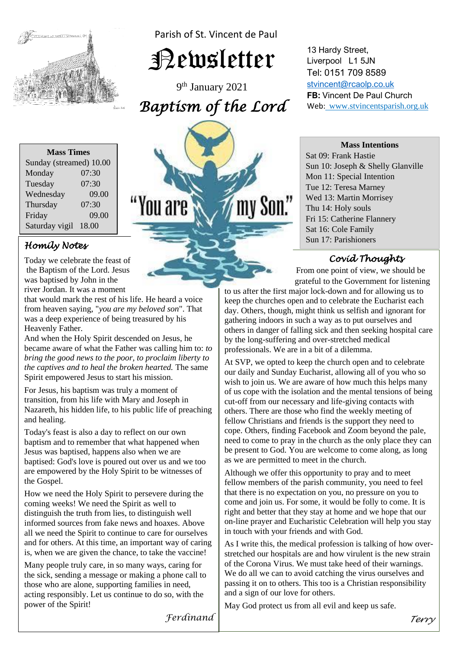

Parish of St. Vincent de Paul

Newsletter

9 th January 2021 *Baptism of the Lord* 

ou are/

| <b>Mass Times</b>       |       |
|-------------------------|-------|
| Sunday (streamed) 10.00 |       |
| Monday                  | 07:30 |
| Tuesday                 | 07:30 |
| Wednesday               | 09.00 |
| Thursday                | 07:30 |
| Friday                  | 09.00 |
| Saturday vigil          | 18.00 |
|                         |       |

# *Homily Notes*

**the Baptism of the Lord. Jesus** Today we celebrate the feast of was baptised by John in the river Jordan. It was a moment

river Jordan. It was a moment<br>that would mark the rest of his life. He heard a voice was a deep experience of being treasured by his from heaven saying, "*you are my beloved son*". That Heavenly Father.

And when the Holy Spirit descended on Jesus, he<br>hecame aware of what the Eather was calling him  *the captives and to heal the broken hearted.* The same became aware of what the Father was calling him to: *to bring the good news to the poor, to proclaim liberty to*  Spirit empowered Jesus to start his mission.

 For Jesus, his baptism was truly a moment of Nazareth, his hidden life, to his public life of preaching<br>and hosling transition, from his life with Mary and Joseph in and healing.

Today's feast is also a day to reflect on our own<br>bantism and to remember that what bannened w  baptised: God's love is poured out over us and we too baptism and to remember that what happened when Jesus was baptised, happens also when we are are empowered by the Holy Spirit to be witnesses of the Gospel.

*coming weeks!* We need the Spirit as well to distinguish the truth from lies, to distinguish Informed sources from rake news and hoaxes. Above all we need the Spirit to continue to care for ourselves is, when we are given the chance, to take the vaccine! How we need the Holy Spirit to persevere during the distinguish the truth from lies, to distinguish well informed sources from fake news and hoaxes. Above and for others. At this time, an important way of caring

Many people truly care, in so many ways, caring for the sick, sending a message or making a phone call to those who are alone, supporting families in need, acting responsibly. Let us continue to do so, with the power of the Spirit!

13 Hardy Street, Liverpool L1 5JN Tel: 0151 709 8589 [stvincent@rcaolp.co.uk](mailto:stvincent@rcaolp.co.uk) **FB:** Vincent De Paul Church Web: www.stvincentsparish.org.uk

#### **Mass Intentions**

Sat 09: Frank Hastie Sun 10: Joseph & Shelly Glanville Mon 11: Special Intention Tue 12: Teresa Marney Wed 13: Martin Morrisey Thu 14: Holy souls Fri 15: Catherine Flannery Sat 16: Cole Family Sun 17: Parishioners

# *Covid Thoughts*

From one point of view, we should be grateful to the Government for listening

to us after the first major lock-down and for allowing us to keep the churches open and to celebrate the Eucharist each day. Others, though, might think us selfish and ignorant for gathering indoors in such a way as to put ourselves and others in danger of falling sick and then seeking hospital care by the long-suffering and over-stretched medical professionals. We are in a bit of a dilemma.

j

At SVP, we opted to keep the church open and to celebrate our daily and Sunday Eucharist, allowing all of you who so wish to join us. We are aware of how much this helps many of us cope with the isolation and the mental tensions of being cut-off from our necessary and life-giving contacts with others. There are those who find the weekly meeting of fellow Christians and friends is the support they need to cope. Others, finding Facebook and Zoom beyond the pale, need to come to pray in the church as the only place they can be present to God. You are welcome to come along, as long as we are permitted to meet in the church.

Although we offer this opportunity to pray and to meet fellow members of the parish community, you need to feel that there is no expectation on you, no pressure on you to come and join us. For some, it would be folly to come. It is right and better that they stay at home and we hope that our on-line prayer and Eucharistic Celebration will help you stay in touch with your friends and with God.

As I write this, the medical profession is talking of how overstretched our hospitals are and how virulent is the new strain of the Corona Virus. We must take heed of their warnings. We do all we can to avoid catching the virus ourselves and passing it on to others. This too is a Christian responsibility and a sign of our love for others.

May God protect us from all evil and keep us safe.

*Ferdinand*